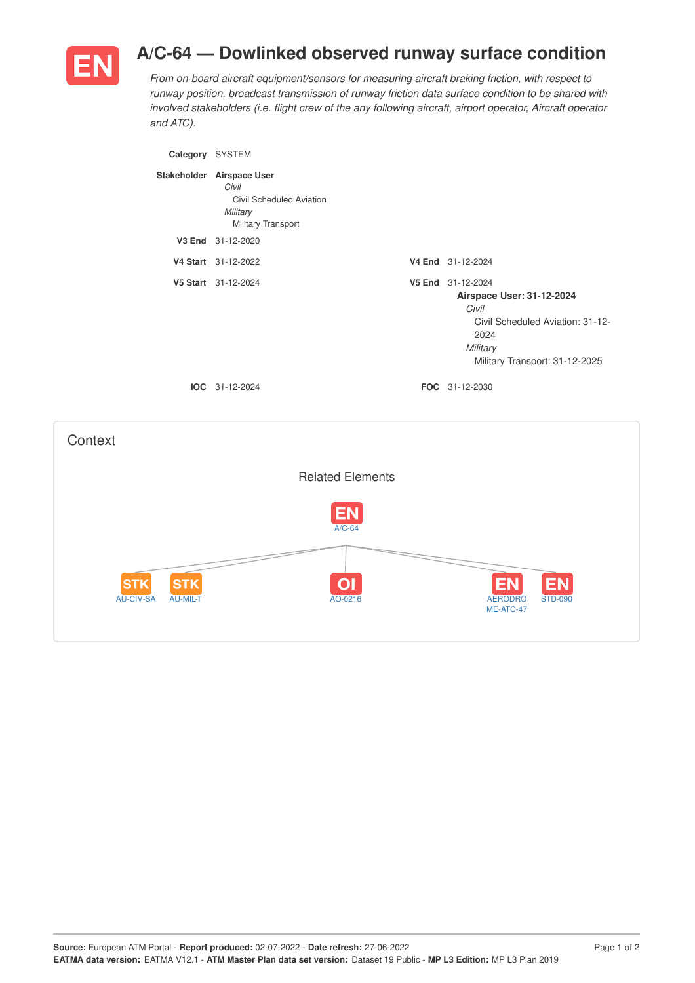

## **A/C-64 — Dowlinked observed runway surface condition**

*From on-board aircraft equipment/sensors for measuring aircraft braking friction, with respect to runway position, broadcast transmission of runway friction data surface condition to be shared with involved stakeholders (i.e. flight crew of the any following aircraft, airport operator, Aircraft operator and ATC).*

| Category SYSTEM |                                                                                                  |                                                                                                                                                   |
|-----------------|--------------------------------------------------------------------------------------------------|---------------------------------------------------------------------------------------------------------------------------------------------------|
|                 | Stakeholder Airspace User<br>Civil<br>Civil Scheduled Aviation<br>Military<br>Military Transport |                                                                                                                                                   |
|                 | V3 End 31-12-2020                                                                                |                                                                                                                                                   |
|                 | V4 Start 31-12-2022                                                                              | V4 End 31-12-2024                                                                                                                                 |
|                 | V5 Start 31-12-2024                                                                              | V5 End 31-12-2024<br>Airspace User: 31-12-2024<br>Civil<br>Civil Scheduled Aviation: 31-12-<br>2024<br>Military<br>Military Transport: 31-12-2025 |
|                 | <b>IOC</b> 31-12-2024                                                                            | FOC 31-12-2030                                                                                                                                    |
|                 |                                                                                                  |                                                                                                                                                   |